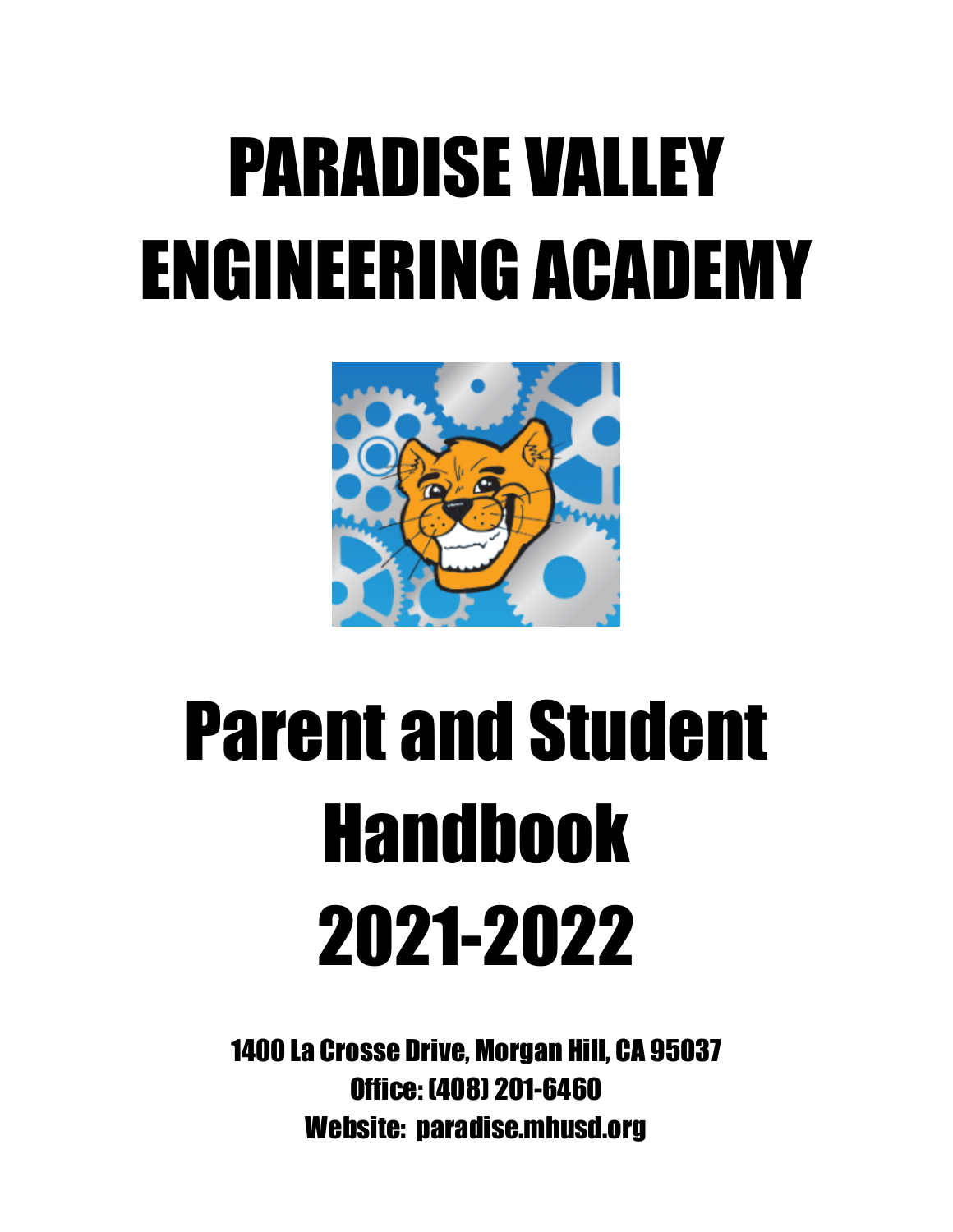# PARADISE VALLEY ENGINEERING ACADEMY



# Parent and Student Handbook 2021-2022

1400 La Crosse Drive, Morgan Hill, CA 95037 Office: (408) 201-6460 Website: paradise.mhusd.org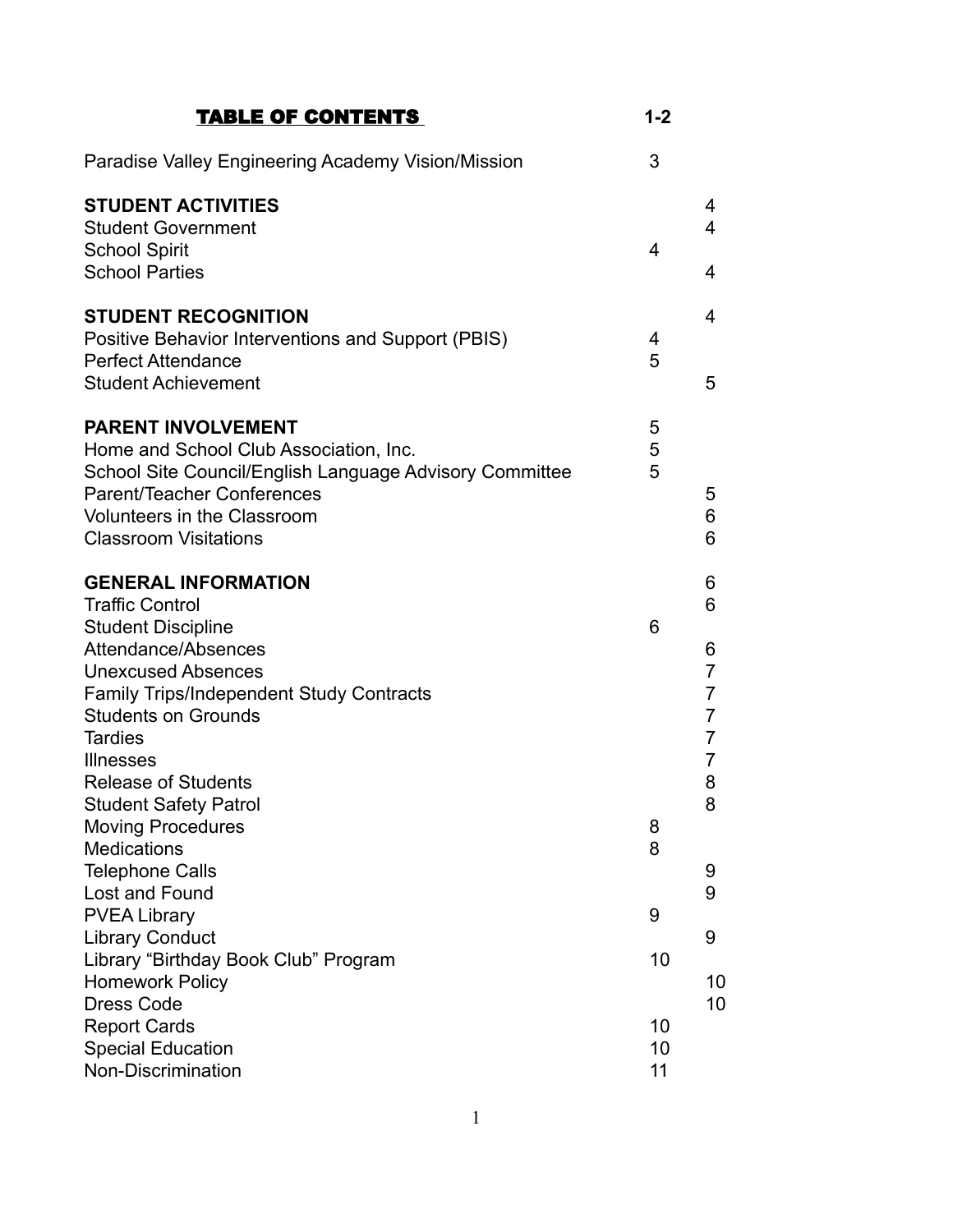| <b>TABLE OF CONTENTS</b>                                                                                                                                                                                                                                     | $1 - 2$        |                                                   |
|--------------------------------------------------------------------------------------------------------------------------------------------------------------------------------------------------------------------------------------------------------------|----------------|---------------------------------------------------|
| Paradise Valley Engineering Academy Vision/Mission                                                                                                                                                                                                           | 3              |                                                   |
| <b>STUDENT ACTIVITIES</b><br><b>Student Government</b><br><b>School Spirit</b><br><b>School Parties</b>                                                                                                                                                      | 4              | 4<br>4<br>4                                       |
| <b>STUDENT RECOGNITION</b><br>Positive Behavior Interventions and Support (PBIS)<br><b>Perfect Attendance</b><br><b>Student Achievement</b>                                                                                                                  | 4<br>5         | 4<br>5                                            |
| <b>PARENT INVOLVEMENT</b><br>Home and School Club Association, Inc.<br>School Site Council/English Language Advisory Committee<br>Parent/Teacher Conferences<br><b>Volunteers in the Classroom</b><br><b>Classroom Visitations</b>                           | 5<br>5<br>5    | 5<br>6<br>6                                       |
| <b>GENERAL INFORMATION</b><br><b>Traffic Control</b><br><b>Student Discipline</b><br>Attendance/Absences<br><b>Unexcused Absences</b><br><b>Family Trips/Independent Study Contracts</b><br><b>Students on Grounds</b><br><b>Tardies</b><br><b>Illnesses</b> | 6              | 6<br>6<br>6<br>7<br>7<br>7<br>$\overline{7}$<br>7 |
| <b>Release of Students</b><br><b>Student Safety Patrol</b><br><b>Moving Procedures</b><br><b>Medications</b><br><b>Telephone Calls</b><br>Lost and Found                                                                                                     | 8<br>8         | 8<br>8<br>9<br>9                                  |
| <b>PVEA Library</b><br><b>Library Conduct</b><br>Library "Birthday Book Club" Program<br><b>Homework Policy</b><br><b>Dress Code</b>                                                                                                                         | 9<br>10        | 9<br>10<br>10                                     |
| <b>Report Cards</b><br><b>Special Education</b><br>Non-Discrimination                                                                                                                                                                                        | 10<br>10<br>11 |                                                   |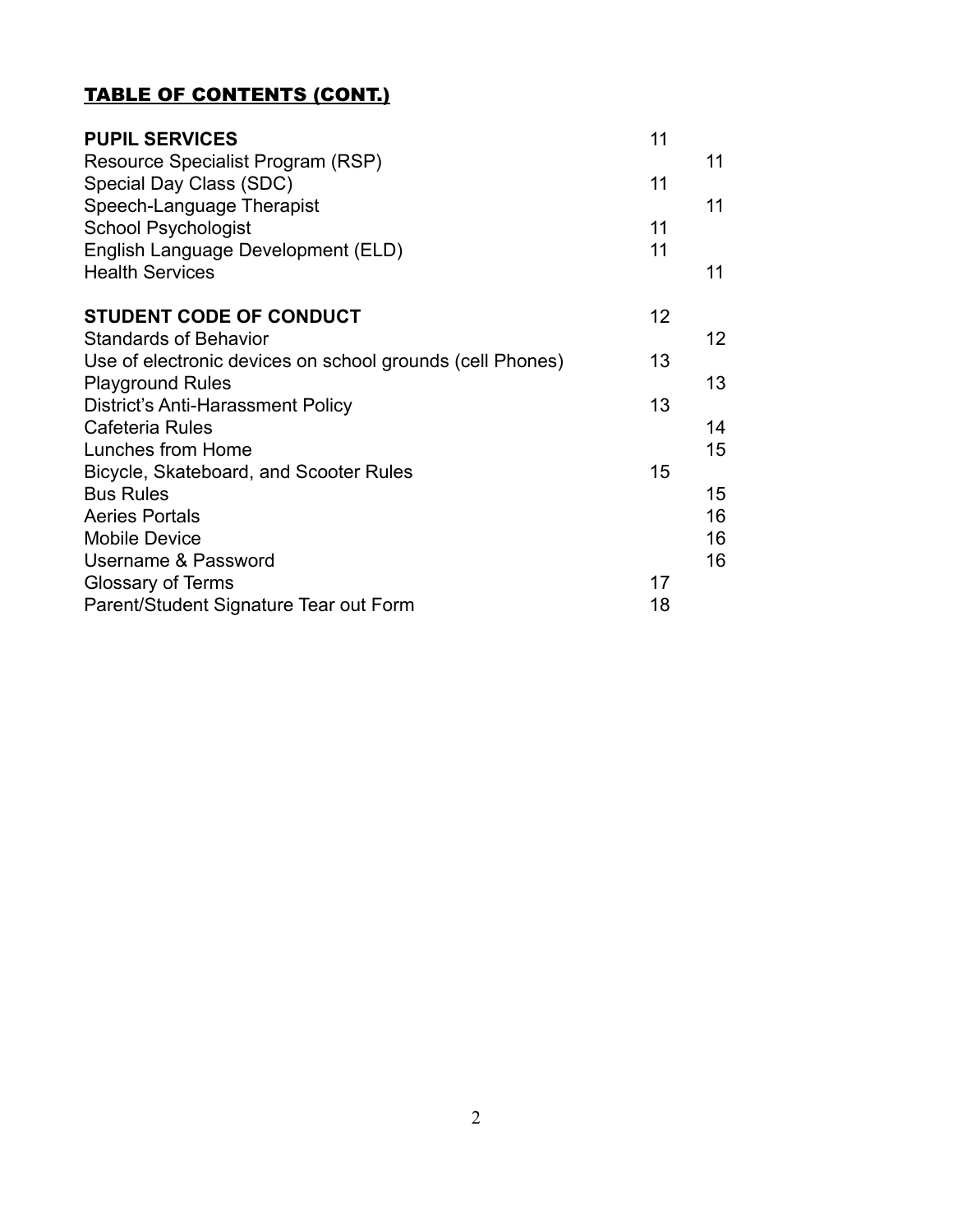## TABLE OF CONTENTS (CONT.)

| <b>PUPIL SERVICES</b><br>Resource Specialist Program (RSP)<br>Special Day Class (SDC)<br>Speech-Language Therapist | 11<br>11 | 11<br>11          |
|--------------------------------------------------------------------------------------------------------------------|----------|-------------------|
| <b>School Psychologist</b>                                                                                         | 11       |                   |
| English Language Development (ELD)                                                                                 | 11       |                   |
| <b>Health Services</b>                                                                                             |          | 11                |
| <b>STUDENT CODE OF CONDUCT</b>                                                                                     | 12       |                   |
| <b>Standards of Behavior</b>                                                                                       |          | $12 \overline{ }$ |
| Use of electronic devices on school grounds (cell Phones)                                                          | 13       |                   |
| <b>Playground Rules</b>                                                                                            |          | 13                |
| District's Anti-Harassment Policy                                                                                  | 13       |                   |
| Cafeteria Rules                                                                                                    |          | 14                |
| Lunches from Home                                                                                                  |          | 15                |
| Bicycle, Skateboard, and Scooter Rules                                                                             | 15       |                   |
| <b>Bus Rules</b>                                                                                                   |          | 15                |
| <b>Aeries Portals</b>                                                                                              |          | 16                |
| <b>Mobile Device</b>                                                                                               |          | 16                |
| Username & Password                                                                                                |          | 16                |
| Glossary of Terms                                                                                                  | 17       |                   |
| Parent/Student Signature Tear out Form                                                                             | 18       |                   |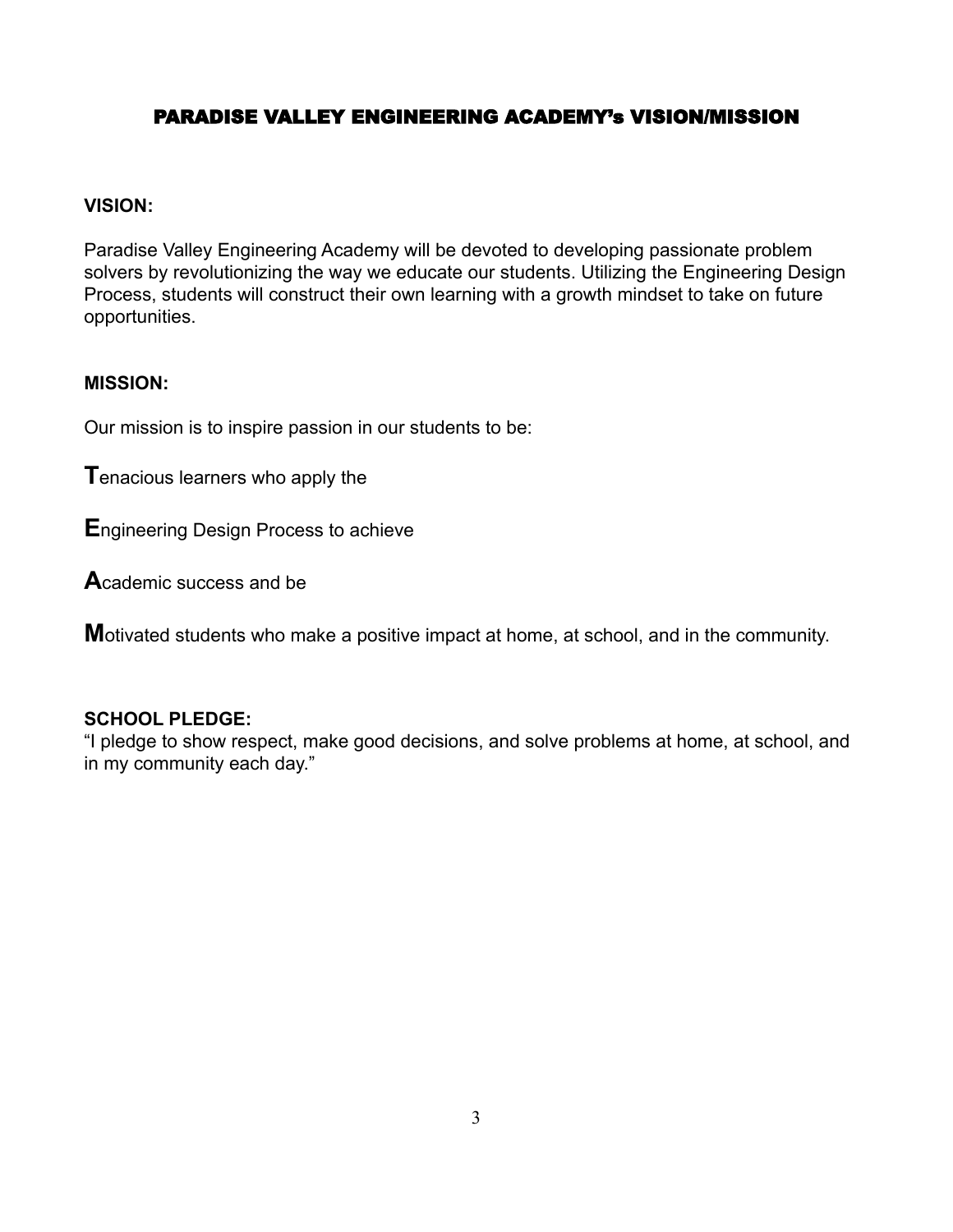## PARADISE VALLEY ENGINEERING ACADEMY's VISION/MISSION

#### **VISION:**

Paradise Valley Engineering Academy will be devoted to developing passionate problem solvers by revolutionizing the way we educate our students. Utilizing the Engineering Design Process, students will construct their own learning with a growth mindset to take on future opportunities.

## **MISSION:**

Our mission is to inspire passion in our students to be:

**T**enacious learners who apply the

**E**ngineering Design Process to achieve

**A**cademic success and be

**M**otivated students who make a positive impact at home, at school, and in the community.

#### **SCHOOL PLEDGE:**

"I pledge to show respect, make good decisions, and solve problems at home, at school, and in my community each day."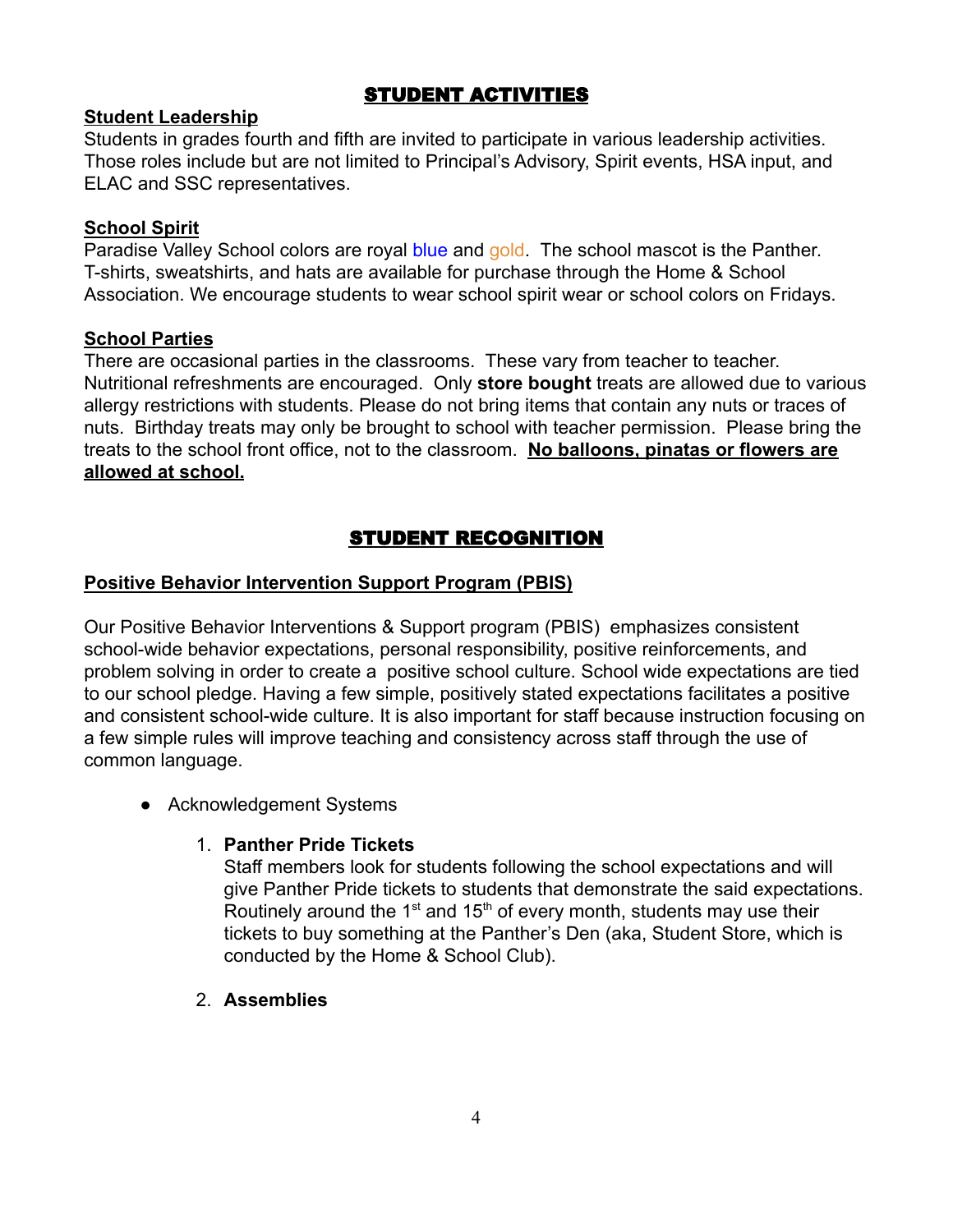## STUDENT ACTIVITIES

## **Student Leadership**

Students in grades fourth and fifth are invited to participate in various leadership activities. Those roles include but are not limited to Principal's Advisory, Spirit events, HSA input, and ELAC and SSC representatives.

## **School Spirit**

Paradise Valley School colors are royal blue and gold. The school mascot is the Panther. T-shirts, sweatshirts, and hats are available for purchase through the Home & School Association. We encourage students to wear school spirit wear or school colors on Fridays.

## **School Parties**

There are occasional parties in the classrooms. These vary from teacher to teacher. Nutritional refreshments are encouraged. Only **store bought** treats are allowed due to various allergy restrictions with students. Please do not bring items that contain any nuts or traces of nuts. Birthday treats may only be brought to school with teacher permission. Please bring the treats to the school front office, not to the classroom. **No balloons, pinatas or flowers are allowed at school.**

## STUDENT RECOGNITION

## **Positive Behavior Intervention Support Program (PBIS)**

Our Positive Behavior Interventions & Support program (PBIS) emphasizes consistent school-wide behavior expectations, personal responsibility, positive reinforcements, and problem solving in order to create a positive school culture. School wide expectations are tied to our school pledge. Having a few simple, positively stated expectations facilitates a positive and consistent school-wide culture. It is also important for staff because instruction focusing on a few simple rules will improve teaching and consistency across staff through the use of common language.

• Acknowledgement Systems

## 1. **Panther Pride Tickets**

Staff members look for students following the school expectations and will give Panther Pride tickets to students that demonstrate the said expectations. Routinely around the  $1<sup>st</sup>$  and  $15<sup>th</sup>$  of every month, students may use their tickets to buy something at the Panther's Den (aka, Student Store, which is conducted by the Home & School Club).

2. **Assemblies**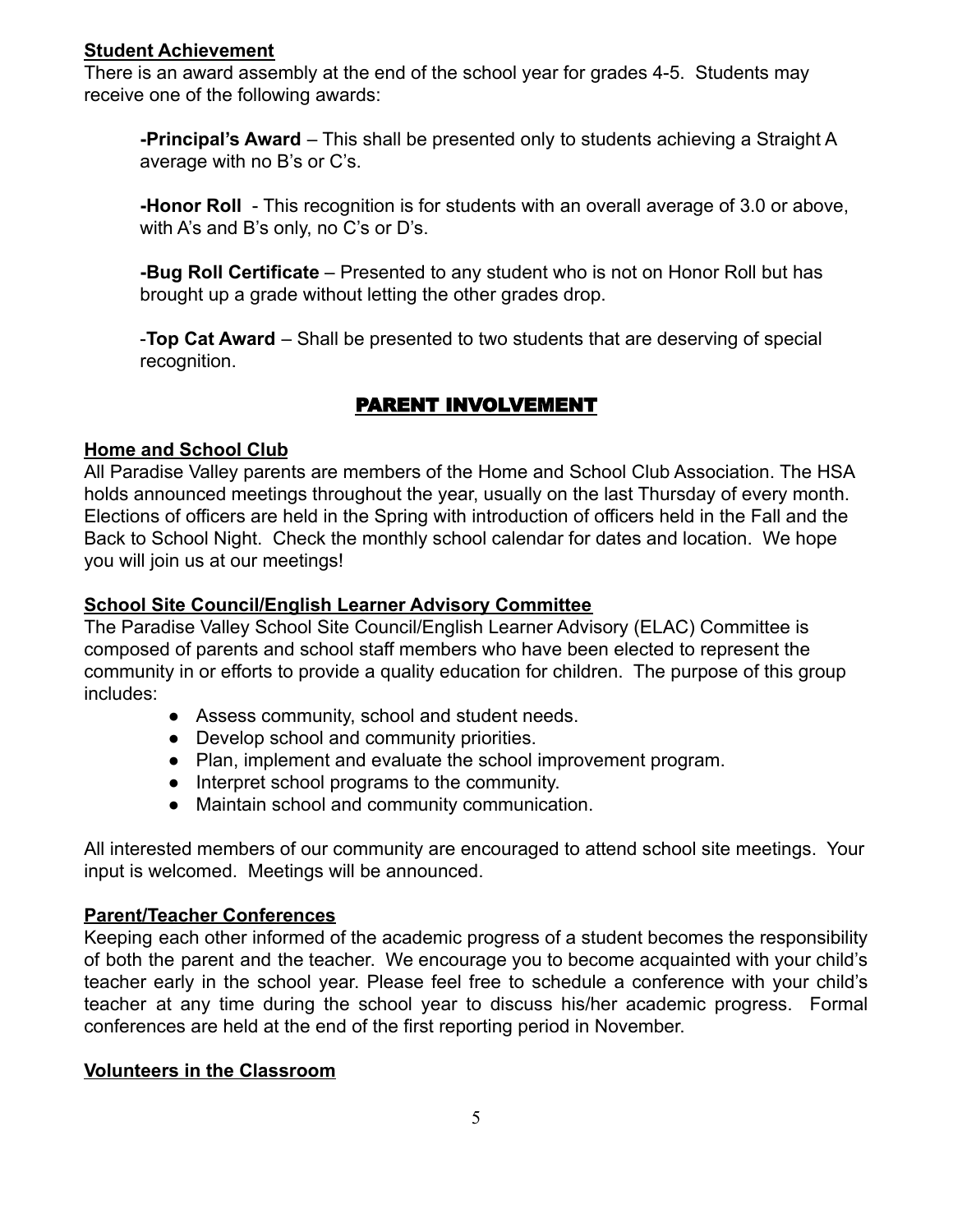## **Student Achievement**

There is an award assembly at the end of the school year for grades 4-5. Students may receive one of the following awards:

**-Principal's Award** – This shall be presented only to students achieving a Straight A average with no B's or C's.

**-Honor Roll** - This recognition is for students with an overall average of 3.0 or above, with A's and B's only, no C's or D's.

**-Bug Roll Certificate** – Presented to any student who is not on Honor Roll but has brought up a grade without letting the other grades drop.

-**Top Cat Award** – Shall be presented to two students that are deserving of special recognition.

## PARENT INVOLVEMENT

## **Home and School Club**

All Paradise Valley parents are members of the Home and School Club Association. The HSA holds announced meetings throughout the year, usually on the last Thursday of every month. Elections of officers are held in the Spring with introduction of officers held in the Fall and the Back to School Night. Check the monthly school calendar for dates and location. We hope you will join us at our meetings!

## **School Site Council/English Learner Advisory Committee**

The Paradise Valley School Site Council/English Learner Advisory (ELAC) Committee is composed of parents and school staff members who have been elected to represent the community in or efforts to provide a quality education for children. The purpose of this group includes:

- Assess community, school and student needs.
- Develop school and community priorities.
- Plan, implement and evaluate the school improvement program.
- Interpret school programs to the community.
- Maintain school and community communication.

All interested members of our community are encouraged to attend school site meetings. Your input is welcomed. Meetings will be announced.

## **Parent/Teacher Conferences**

Keeping each other informed of the academic progress of a student becomes the responsibility of both the parent and the teacher. We encourage you to become acquainted with your child's teacher early in the school year. Please feel free to schedule a conference with your child's teacher at any time during the school year to discuss his/her academic progress. Formal conferences are held at the end of the first reporting period in November.

## **Volunteers in the Classroom**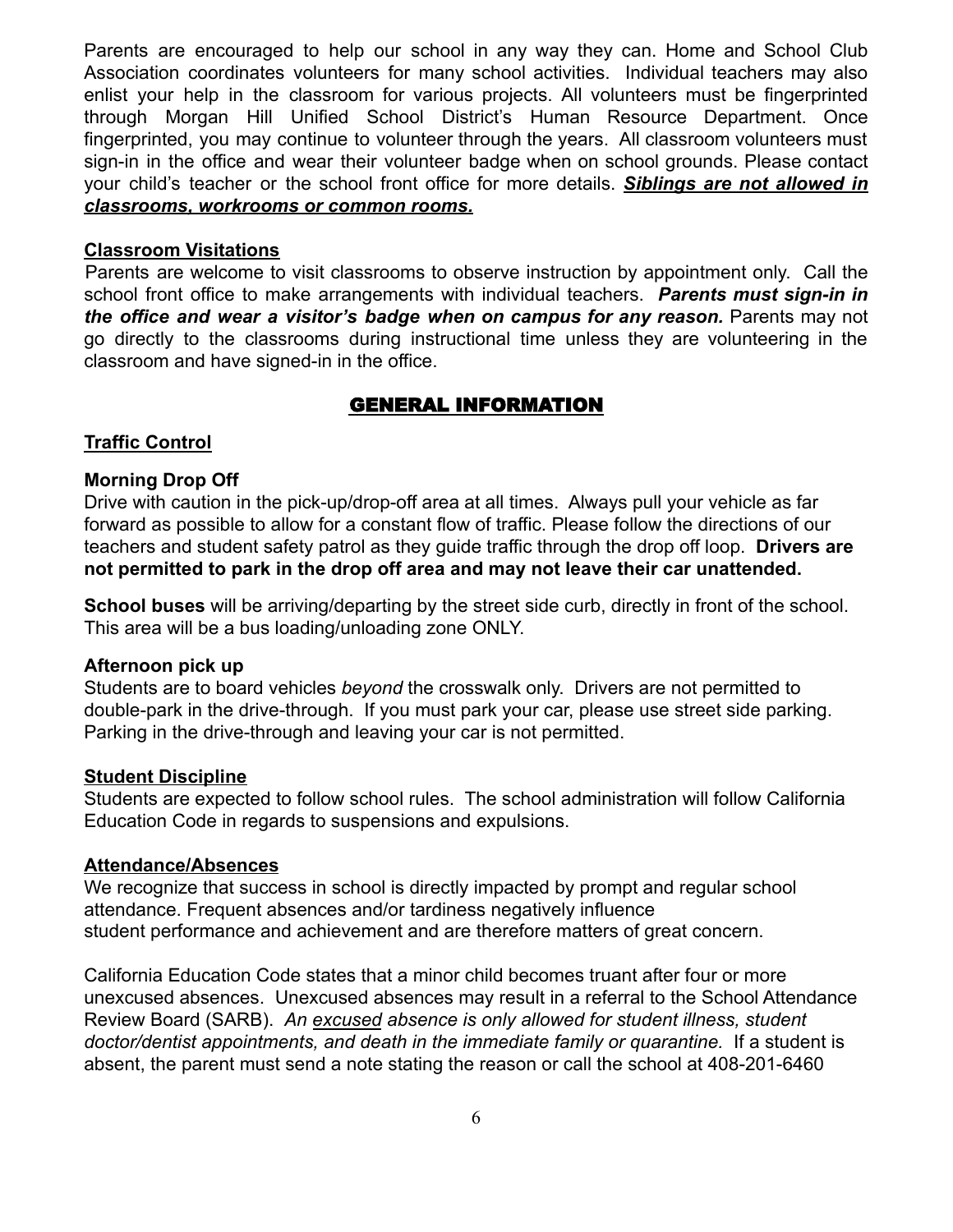Parents are encouraged to help our school in any way they can. Home and School Club Association coordinates volunteers for many school activities. Individual teachers may also enlist your help in the classroom for various projects. All volunteers must be fingerprinted through Morgan Hill Unified School District's Human Resource Department. Once fingerprinted, you may continue to volunteer through the years. All classroom volunteers must sign-in in the office and wear their volunteer badge when on school grounds. Please contact your child's teacher or the school front office for more details. *Siblings are not allowed in classrooms, workrooms or common rooms.*

#### **Classroom Visitations**

Parents are welcome to visit classrooms to observe instruction by appointment only. Call the school front office to make arrangements with individual teachers. *Parents must sign-in in the office and wear a visitor's badge when on campus for any reason.* Parents may not go directly to the classrooms during instructional time unless they are volunteering in the classroom and have signed-in in the office.

## GENERAL INFORMATION

## **Traffic Control**

## **Morning Drop Off**

Drive with caution in the pick-up/drop-off area at all times. Always pull your vehicle as far forward as possible to allow for a constant flow of traffic. Please follow the directions of our teachers and student safety patrol as they guide traffic through the drop off loop. **Drivers are not permitted to park in the drop off area and may not leave their car unattended.**

**School buses** will be arriving/departing by the street side curb, directly in front of the school. This area will be a bus loading/unloading zone ONLY.

#### **Afternoon pick up**

Students are to board vehicles *beyond* the crosswalk only. Drivers are not permitted to double-park in the drive-through. If you must park your car, please use street side parking. Parking in the drive-through and leaving your car is not permitted.

#### **Student Discipline**

Students are expected to follow school rules. The school administration will follow California Education Code in regards to suspensions and expulsions.

#### **Attendance/Absences**

We recognize that success in school is directly impacted by prompt and regular school attendance. Frequent absences and/or tardiness negatively influence student performance and achievement and are therefore matters of great concern.

California Education Code states that a minor child becomes truant after four or more unexcused absences. Unexcused absences may result in a referral to the School Attendance Review Board (SARB). *An excused absence is only allowed for student illness, student doctor/dentist appointments, and death in the immediate family or quarantine.* If a student is absent, the parent must send a note stating the reason or call the school at 408-201-6460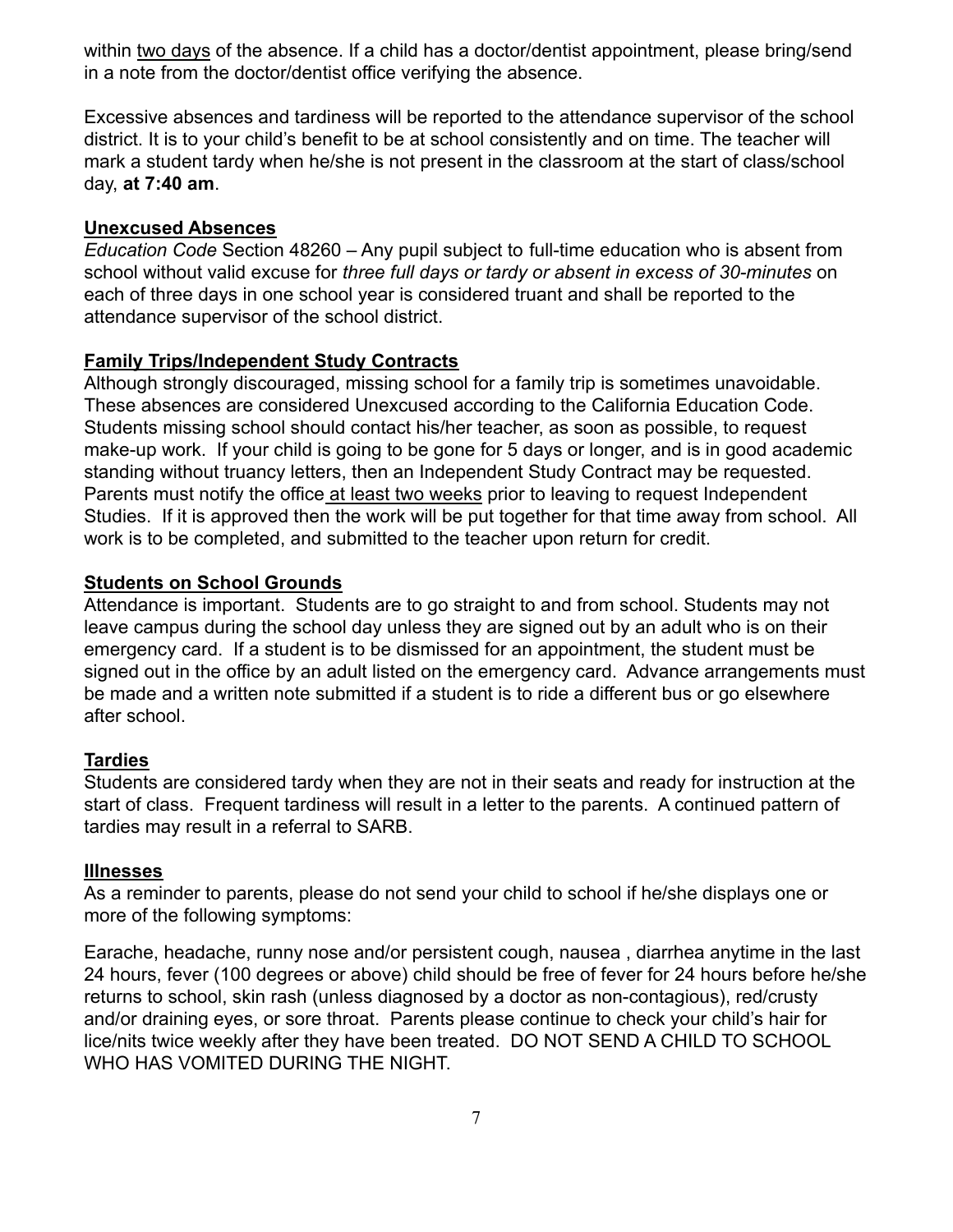within two days of the absence. If a child has a doctor/dentist appointment, please bring/send in a note from the doctor/dentist office verifying the absence.

Excessive absences and tardiness will be reported to the attendance supervisor of the school district. It is to your child's benefit to be at school consistently and on time. The teacher will mark a student tardy when he/she is not present in the classroom at the start of class/school day, **at 7:40 am**.

## **Unexcused Absences**

*Education Code* Section 48260 – Any pupil subject to full-time education who is absent from school without valid excuse for *three full days or tardy or absent in excess of 30-minutes* on each of three days in one school year is considered truant and shall be reported to the attendance supervisor of the school district.

## **Family Trips/Independent Study Contracts**

Although strongly discouraged, missing school for a family trip is sometimes unavoidable. These absences are considered Unexcused according to the California Education Code. Students missing school should contact his/her teacher, as soon as possible, to request make-up work. If your child is going to be gone for 5 days or longer, and is in good academic standing without truancy letters, then an Independent Study Contract may be requested. Parents must notify the office at least two weeks prior to leaving to request Independent Studies. If it is approved then the work will be put together for that time away from school. All work is to be completed, and submitted to the teacher upon return for credit.

## **Students on School Grounds**

Attendance is important. Students are to go straight to and from school. Students may not leave campus during the school day unless they are signed out by an adult who is on their emergency card. If a student is to be dismissed for an appointment, the student must be signed out in the office by an adult listed on the emergency card. Advance arrangements must be made and a written note submitted if a student is to ride a different bus or go elsewhere after school.

## **Tardies**

Students are considered tardy when they are not in their seats and ready for instruction at the start of class. Frequent tardiness will result in a letter to the parents. A continued pattern of tardies may result in a referral to SARB.

## **Illnesses**

As a reminder to parents, please do not send your child to school if he/she displays one or more of the following symptoms:

Earache, headache, runny nose and/or persistent cough, nausea , diarrhea anytime in the last 24 hours, fever (100 degrees or above) child should be free of fever for 24 hours before he/she returns to school, skin rash (unless diagnosed by a doctor as non-contagious), red/crusty and/or draining eyes, or sore throat. Parents please continue to check your child's hair for lice/nits twice weekly after they have been treated. DO NOT SEND A CHILD TO SCHOOL WHO HAS VOMITED DURING THE NIGHT.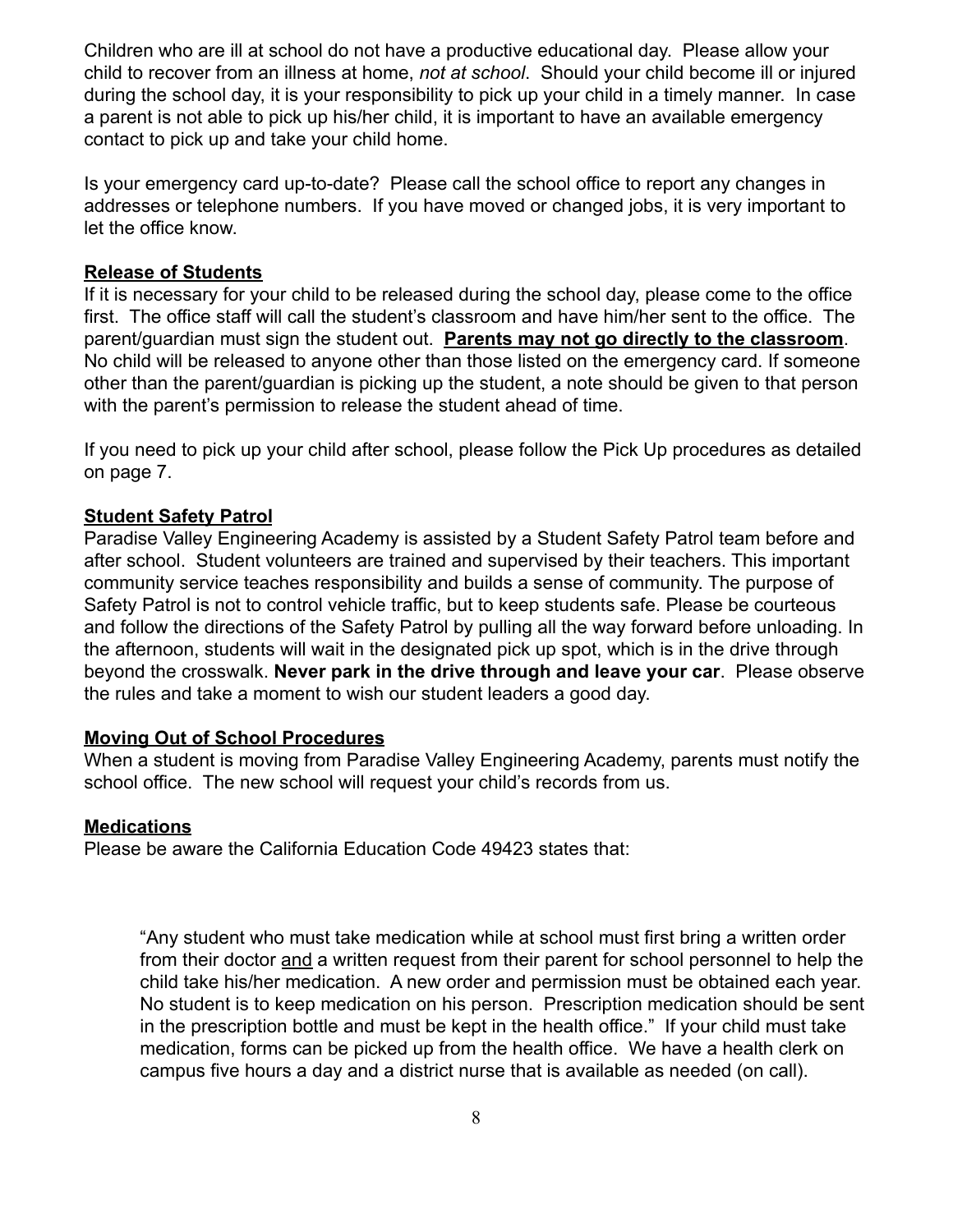Children who are ill at school do not have a productive educational day. Please allow your child to recover from an illness at home, *not at school*. Should your child become ill or injured during the school day, it is your responsibility to pick up your child in a timely manner. In case a parent is not able to pick up his/her child, it is important to have an available emergency contact to pick up and take your child home.

Is your emergency card up-to-date? Please call the school office to report any changes in addresses or telephone numbers. If you have moved or changed jobs, it is very important to let the office know.

#### **Release of Students**

If it is necessary for your child to be released during the school day, please come to the office first. The office staff will call the student's classroom and have him/her sent to the office. The parent/guardian must sign the student out. **Parents may not go directly to the classroom**. No child will be released to anyone other than those listed on the emergency card. If someone other than the parent/guardian is picking up the student, a note should be given to that person with the parent's permission to release the student ahead of time.

If you need to pick up your child after school, please follow the Pick Up procedures as detailed on page 7.

#### **Student Safety Patrol**

Paradise Valley Engineering Academy is assisted by a Student Safety Patrol team before and after school. Student volunteers are trained and supervised by their teachers. This important community service teaches responsibility and builds a sense of community. The purpose of Safety Patrol is not to control vehicle traffic, but to keep students safe. Please be courteous and follow the directions of the Safety Patrol by pulling all the way forward before unloading. In the afternoon, students will wait in the designated pick up spot, which is in the drive through beyond the crosswalk. **Never park in the drive through and leave your car**. Please observe the rules and take a moment to wish our student leaders a good day.

#### **Moving Out of School Procedures**

When a student is moving from Paradise Valley Engineering Academy, parents must notify the school office. The new school will request your child's records from us.

#### **Medications**

Please be aware the California Education Code 49423 states that:

"Any student who must take medication while at school must first bring a written order from their doctor and a written request from their parent for school personnel to help the child take his/her medication. A new order and permission must be obtained each year. No student is to keep medication on his person. Prescription medication should be sent in the prescription bottle and must be kept in the health office." If your child must take medication, forms can be picked up from the health office. We have a health clerk on campus five hours a day and a district nurse that is available as needed (on call).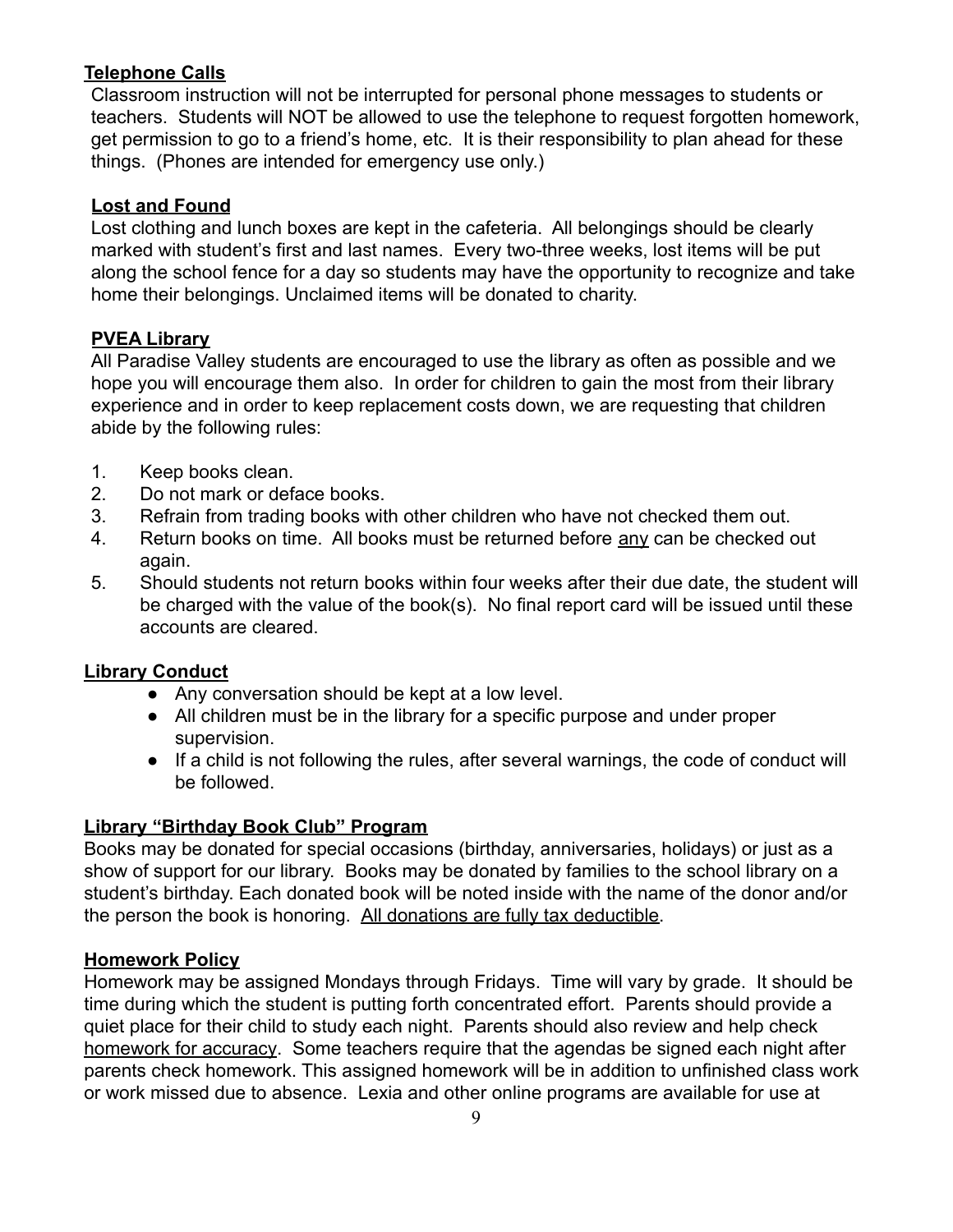## **Telephone Calls**

Classroom instruction will not be interrupted for personal phone messages to students or teachers. Students will NOT be allowed to use the telephone to request forgotten homework, get permission to go to a friend's home, etc. It is their responsibility to plan ahead for these things. (Phones are intended for emergency use only.)

## **Lost and Found**

Lost clothing and lunch boxes are kept in the cafeteria. All belongings should be clearly marked with student's first and last names. Every two-three weeks, lost items will be put along the school fence for a day so students may have the opportunity to recognize and take home their belongings. Unclaimed items will be donated to charity.

## **PVEA Library**

All Paradise Valley students are encouraged to use the library as often as possible and we hope you will encourage them also. In order for children to gain the most from their library experience and in order to keep replacement costs down, we are requesting that children abide by the following rules:

- 1. Keep books clean.
- 2. Do not mark or deface books.
- 3. Refrain from trading books with other children who have not checked them out.
- 4. Return books on time. All books must be returned before any can be checked out again.
- 5. Should students not return books within four weeks after their due date, the student will be charged with the value of the book(s). No final report card will be issued until these accounts are cleared.

## **Library Conduct**

- Any conversation should be kept at a low level.
- All children must be in the library for a specific purpose and under proper supervision.
- If a child is not following the rules, after several warnings, the code of conduct will be followed.

## **Library "Birthday Book Club" Program**

Books may be donated for special occasions (birthday, anniversaries, holidays) or just as a show of support for our library. Books may be donated by families to the school library on a student's birthday. Each donated book will be noted inside with the name of the donor and/or the person the book is honoring. All donations are fully tax deductible.

## **Homework Policy**

Homework may be assigned Mondays through Fridays. Time will vary by grade. It should be time during which the student is putting forth concentrated effort. Parents should provide a quiet place for their child to study each night. Parents should also review and help check homework for accuracy. Some teachers require that the agendas be signed each night after parents check homework. This assigned homework will be in addition to unfinished class work or work missed due to absence. Lexia and other online programs are available for use at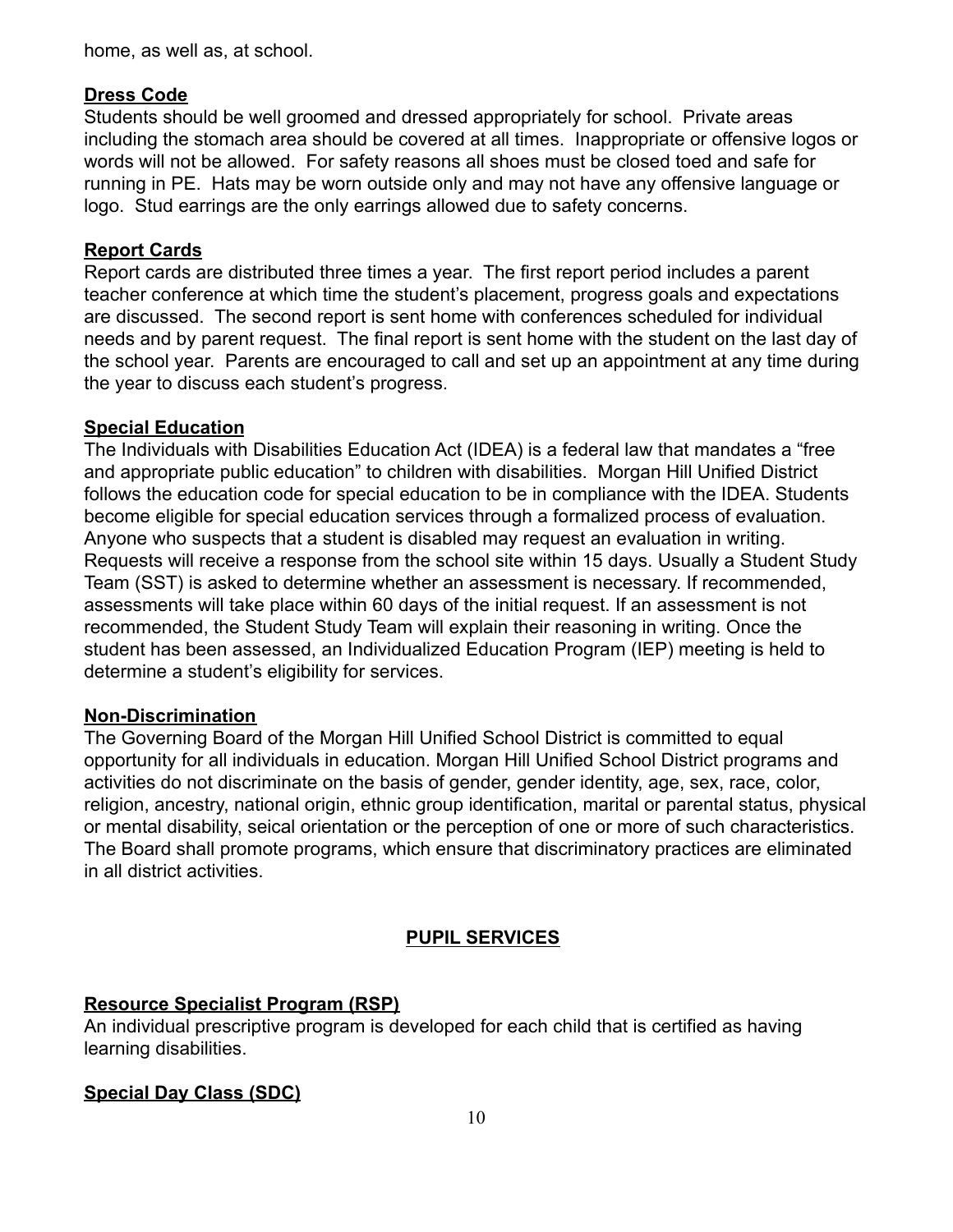home, as well as, at school.

## **Dress Code**

Students should be well groomed and dressed appropriately for school. Private areas including the stomach area should be covered at all times. Inappropriate or offensive logos or words will not be allowed. For safety reasons all shoes must be closed toed and safe for running in PE. Hats may be worn outside only and may not have any offensive language or logo. Stud earrings are the only earrings allowed due to safety concerns.

## **Report Cards**

Report cards are distributed three times a year. The first report period includes a parent teacher conference at which time the student's placement, progress goals and expectations are discussed. The second report is sent home with conferences scheduled for individual needs and by parent request. The final report is sent home with the student on the last day of the school year. Parents are encouraged to call and set up an appointment at any time during the year to discuss each student's progress.

## **Special Education**

The Individuals with Disabilities Education Act (IDEA) is a federal law that mandates a "free and appropriate public education" to children with disabilities. Morgan Hill Unified District follows the education code for special education to be in compliance with the IDEA. Students become eligible for special education services through a formalized process of evaluation. Anyone who suspects that a student is disabled may request an evaluation in writing. Requests will receive a response from the school site within 15 days. Usually a Student Study Team (SST) is asked to determine whether an assessment is necessary. If recommended, assessments will take place within 60 days of the initial request. If an assessment is not recommended, the Student Study Team will explain their reasoning in writing. Once the student has been assessed, an Individualized Education Program (IEP) meeting is held to determine a student's eligibility for services.

## **Non-Discrimination**

The Governing Board of the Morgan Hill Unified School District is committed to equal opportunity for all individuals in education. Morgan Hill Unified School District programs and activities do not discriminate on the basis of gender, gender identity, age, sex, race, color, religion, ancestry, national origin, ethnic group identification, marital or parental status, physical or mental disability, seical orientation or the perception of one or more of such characteristics. The Board shall promote programs, which ensure that discriminatory practices are eliminated in all district activities.

## **PUPIL SERVICES**

## **Resource Specialist Program (RSP)**

An individual prescriptive program is developed for each child that is certified as having learning disabilities.

## **Special Day Class (SDC)**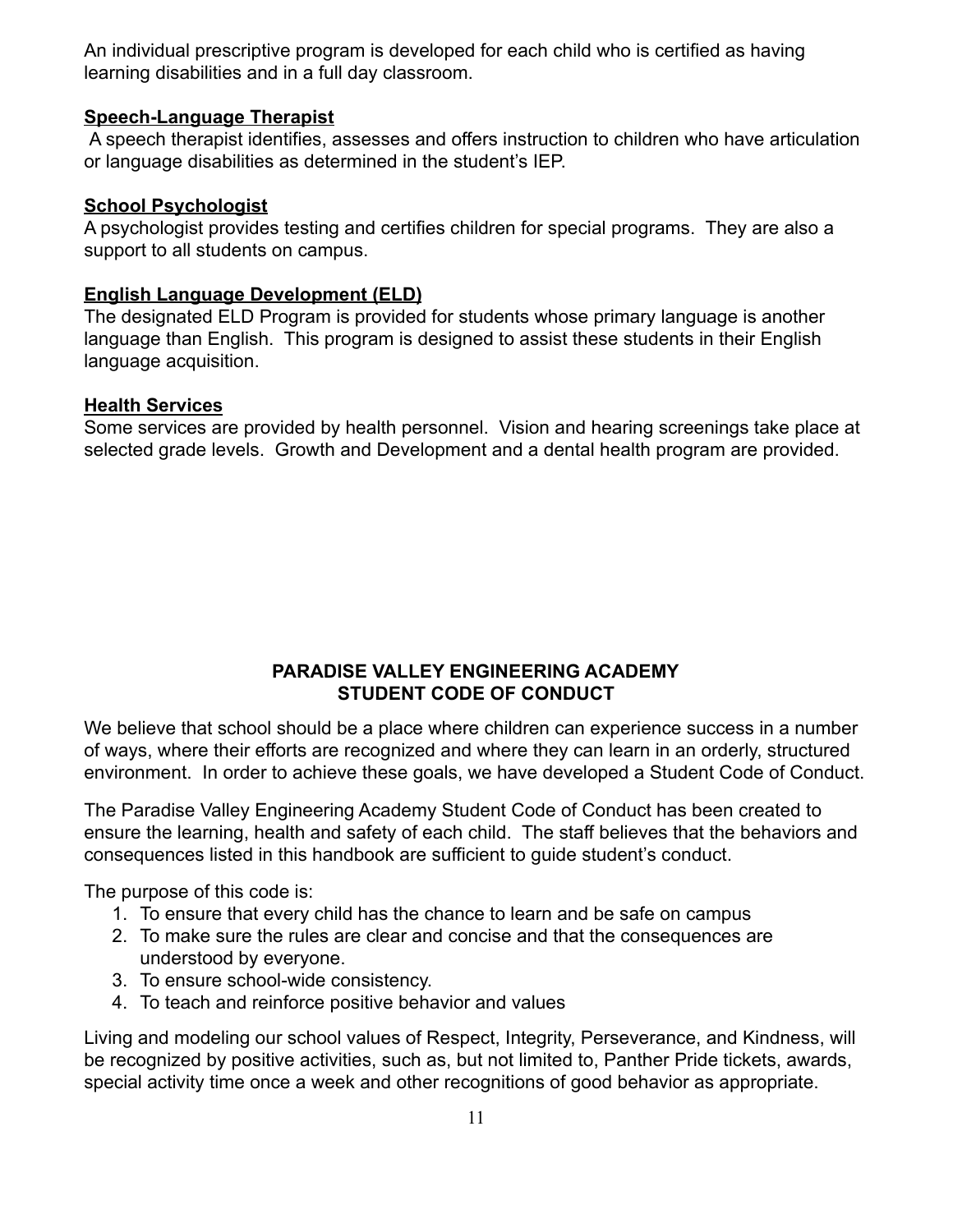An individual prescriptive program is developed for each child who is certified as having learning disabilities and in a full day classroom.

#### **Speech-Language Therapist**

A speech therapist identifies, assesses and offers instruction to children who have articulation or language disabilities as determined in the student's IEP.

#### **School Psychologist**

A psychologist provides testing and certifies children for special programs. They are also a support to all students on campus.

#### **English Language Development (ELD)**

The designated ELD Program is provided for students whose primary language is another language than English. This program is designed to assist these students in their English language acquisition.

#### **Health Services**

Some services are provided by health personnel. Vision and hearing screenings take place at selected grade levels. Growth and Development and a dental health program are provided.

#### **PARADISE VALLEY ENGINEERING ACADEMY STUDENT CODE OF CONDUCT**

We believe that school should be a place where children can experience success in a number of ways, where their efforts are recognized and where they can learn in an orderly, structured environment. In order to achieve these goals, we have developed a Student Code of Conduct.

The Paradise Valley Engineering Academy Student Code of Conduct has been created to ensure the learning, health and safety of each child. The staff believes that the behaviors and consequences listed in this handbook are sufficient to guide student's conduct.

The purpose of this code is:

- 1. To ensure that every child has the chance to learn and be safe on campus
- 2. To make sure the rules are clear and concise and that the consequences are understood by everyone.
- 3. To ensure school-wide consistency.
- 4. To teach and reinforce positive behavior and values

Living and modeling our school values of Respect, Integrity, Perseverance, and Kindness, will be recognized by positive activities, such as, but not limited to, Panther Pride tickets, awards, special activity time once a week and other recognitions of good behavior as appropriate.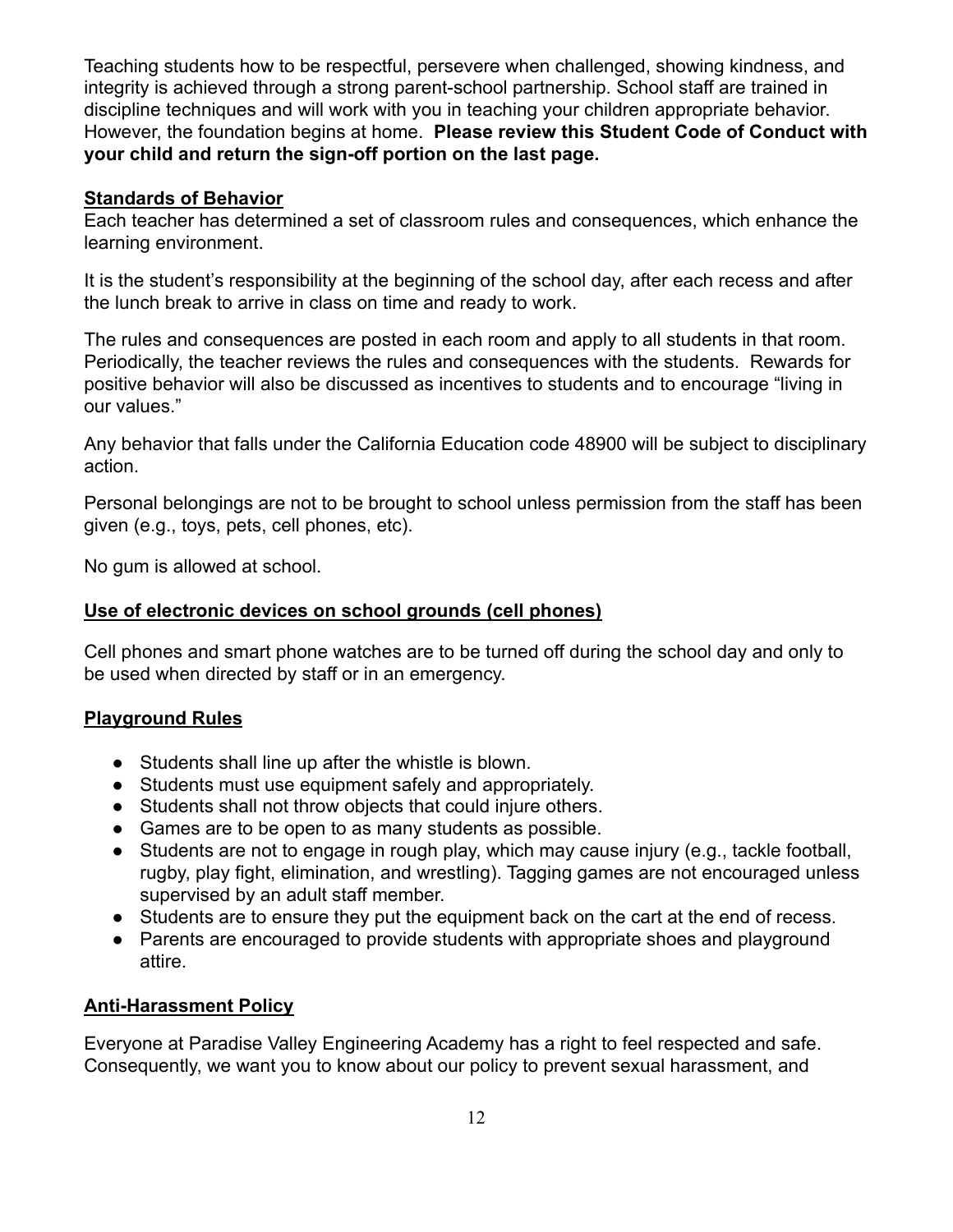Teaching students how to be respectful, persevere when challenged, showing kindness, and integrity is achieved through a strong parent-school partnership. School staff are trained in discipline techniques and will work with you in teaching your children appropriate behavior. However, the foundation begins at home. **Please review this Student Code of Conduct with your child and return the sign-off portion on the last page.**

## **Standards of Behavior**

Each teacher has determined a set of classroom rules and consequences, which enhance the learning environment.

It is the student's responsibility at the beginning of the school day, after each recess and after the lunch break to arrive in class on time and ready to work.

The rules and consequences are posted in each room and apply to all students in that room. Periodically, the teacher reviews the rules and consequences with the students. Rewards for positive behavior will also be discussed as incentives to students and to encourage "living in our values."

Any behavior that falls under the California Education code 48900 will be subject to disciplinary action.

Personal belongings are not to be brought to school unless permission from the staff has been given (e.g., toys, pets, cell phones, etc).

No gum is allowed at school.

## **Use of electronic devices on school grounds (cell phones)**

Cell phones and smart phone watches are to be turned off during the school day and only to be used when directed by staff or in an emergency.

## **Playground Rules**

- Students shall line up after the whistle is blown.
- Students must use equipment safely and appropriately.
- Students shall not throw objects that could injure others.
- Games are to be open to as many students as possible.
- Students are not to engage in rough play, which may cause injury (e.g., tackle football, rugby, play fight, elimination, and wrestling). Tagging games are not encouraged unless supervised by an adult staff member.
- Students are to ensure they put the equipment back on the cart at the end of recess.
- Parents are encouraged to provide students with appropriate shoes and playground attire.

## **Anti-Harassment Policy**

Everyone at Paradise Valley Engineering Academy has a right to feel respected and safe. Consequently, we want you to know about our policy to prevent sexual harassment, and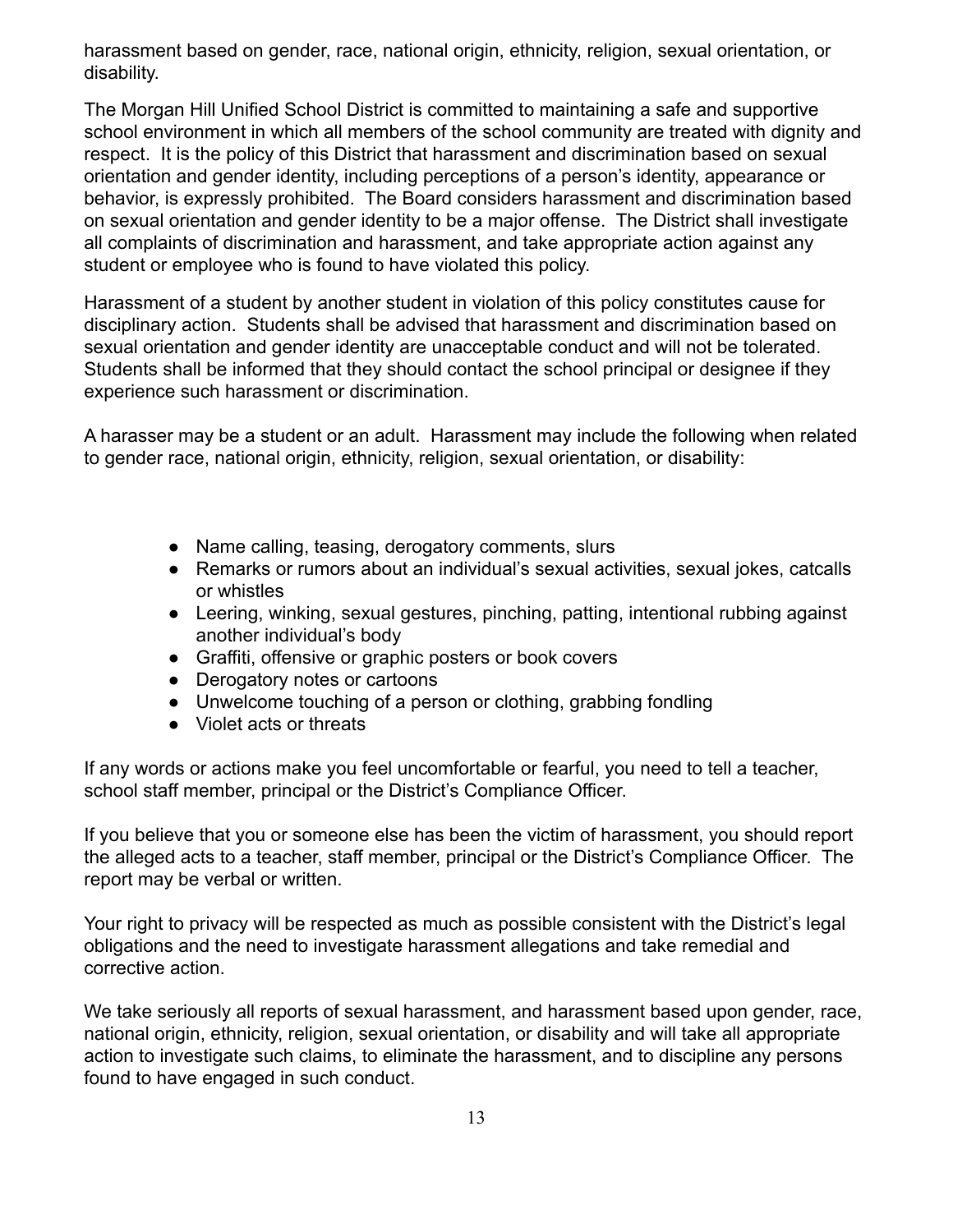harassment based on gender, race, national origin, ethnicity, religion, sexual orientation, or disability.

The Morgan Hill Unified School District is committed to maintaining a safe and supportive school environment in which all members of the school community are treated with dignity and respect. It is the policy of this District that harassment and discrimination based on sexual orientation and gender identity, including perceptions of a person's identity, appearance or behavior, is expressly prohibited. The Board considers harassment and discrimination based on sexual orientation and gender identity to be a major offense. The District shall investigate all complaints of discrimination and harassment, and take appropriate action against any student or employee who is found to have violated this policy.

Harassment of a student by another student in violation of this policy constitutes cause for disciplinary action. Students shall be advised that harassment and discrimination based on sexual orientation and gender identity are unacceptable conduct and will not be tolerated. Students shall be informed that they should contact the school principal or designee if they experience such harassment or discrimination.

A harasser may be a student or an adult. Harassment may include the following when related to gender race, national origin, ethnicity, religion, sexual orientation, or disability:

- Name calling, teasing, derogatory comments, slurs
- Remarks or rumors about an individual's sexual activities, sexual jokes, catcalls or whistles
- Leering, winking, sexual gestures, pinching, patting, intentional rubbing against another individual's body
- Graffiti, offensive or graphic posters or book covers
- Derogatory notes or cartoons
- Unwelcome touching of a person or clothing, grabbing fondling
- Violet acts or threats

If any words or actions make you feel uncomfortable or fearful, you need to tell a teacher, school staff member, principal or the District's Compliance Officer.

If you believe that you or someone else has been the victim of harassment, you should report the alleged acts to a teacher, staff member, principal or the District's Compliance Officer. The report may be verbal or written.

Your right to privacy will be respected as much as possible consistent with the District's legal obligations and the need to investigate harassment allegations and take remedial and corrective action.

We take seriously all reports of sexual harassment, and harassment based upon gender, race, national origin, ethnicity, religion, sexual orientation, or disability and will take all appropriate action to investigate such claims, to eliminate the harassment, and to discipline any persons found to have engaged in such conduct.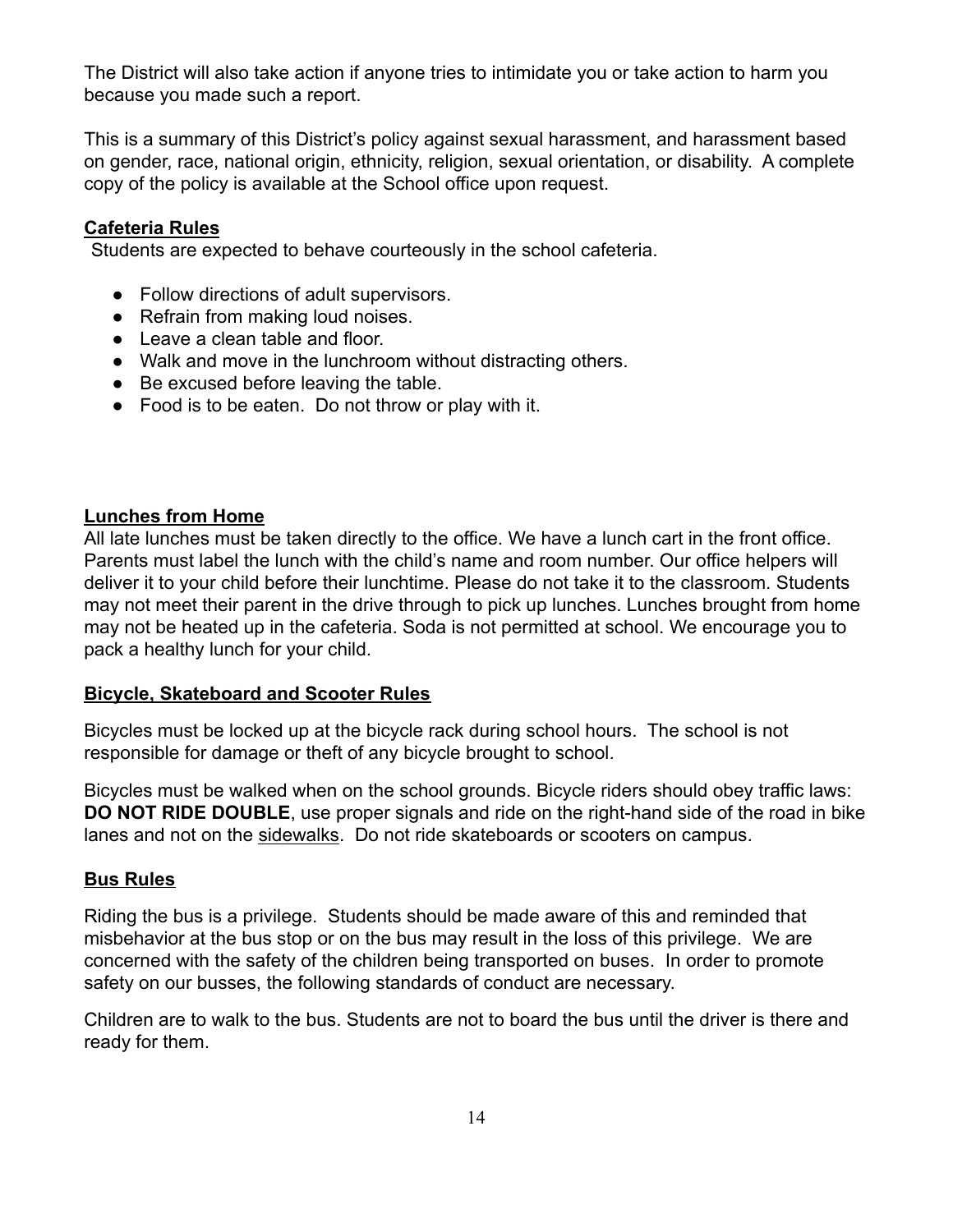The District will also take action if anyone tries to intimidate you or take action to harm you because you made such a report.

This is a summary of this District's policy against sexual harassment, and harassment based on gender, race, national origin, ethnicity, religion, sexual orientation, or disability. A complete copy of the policy is available at the School office upon request.

## **Cafeteria Rules**

Students are expected to behave courteously in the school cafeteria.

- Follow directions of adult supervisors.
- Refrain from making loud noises.
- Leave a clean table and floor.
- Walk and move in the lunchroom without distracting others.
- Be excused before leaving the table.
- Food is to be eaten. Do not throw or play with it.

#### **Lunches from Home**

All late lunches must be taken directly to the office. We have a lunch cart in the front office. Parents must label the lunch with the child's name and room number. Our office helpers will deliver it to your child before their lunchtime. Please do not take it to the classroom. Students may not meet their parent in the drive through to pick up lunches. Lunches brought from home may not be heated up in the cafeteria. Soda is not permitted at school. We encourage you to pack a healthy lunch for your child.

#### **Bicycle, Skateboard and Scooter Rules**

Bicycles must be locked up at the bicycle rack during school hours. The school is not responsible for damage or theft of any bicycle brought to school.

Bicycles must be walked when on the school grounds. Bicycle riders should obey traffic laws: **DO NOT RIDE DOUBLE**, use proper signals and ride on the right-hand side of the road in bike lanes and not on the sidewalks. Do not ride skateboards or scooters on campus.

## **Bus Rules**

Riding the bus is a privilege. Students should be made aware of this and reminded that misbehavior at the bus stop or on the bus may result in the loss of this privilege. We are concerned with the safety of the children being transported on buses. In order to promote safety on our busses, the following standards of conduct are necessary.

Children are to walk to the bus. Students are not to board the bus until the driver is there and ready for them.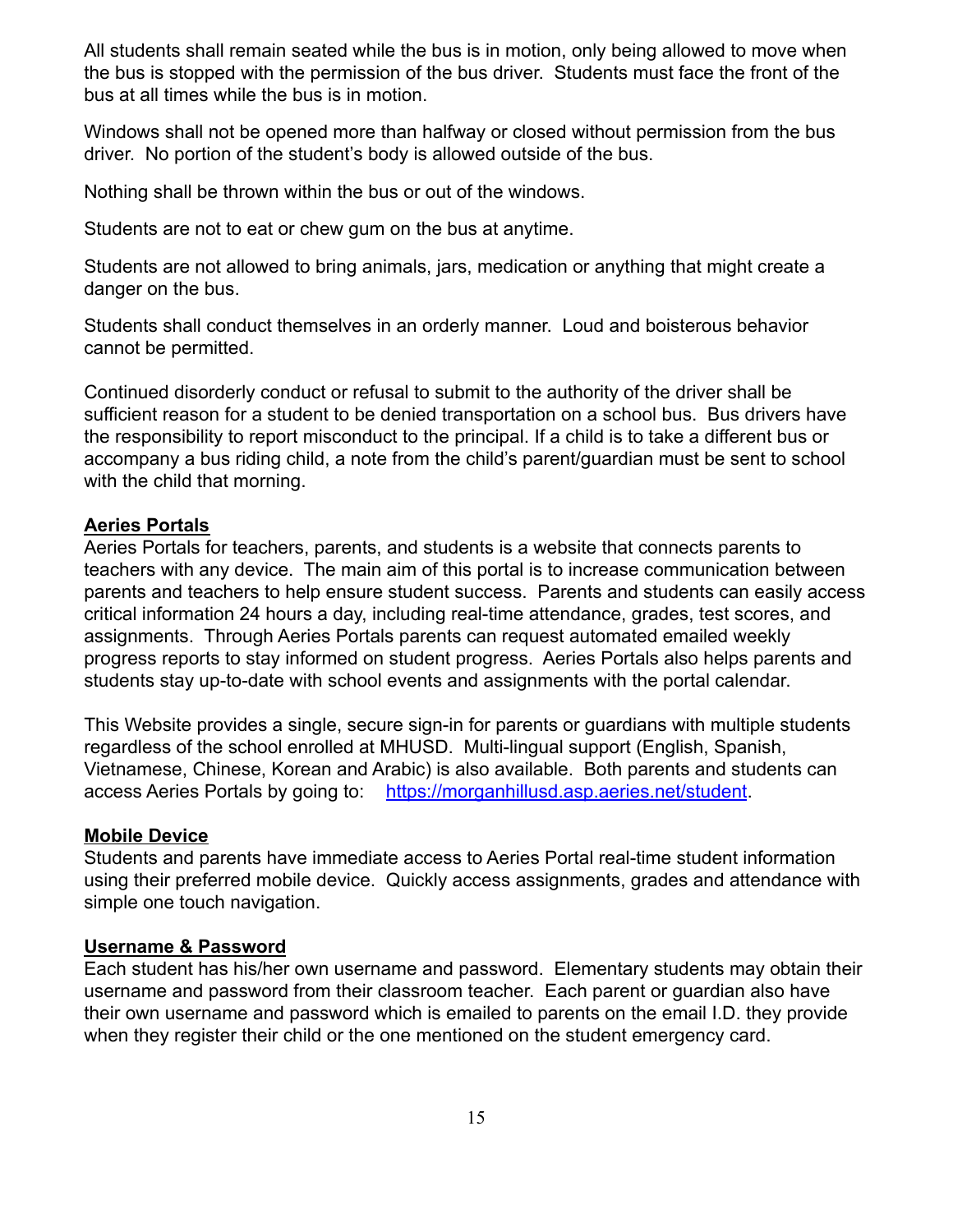All students shall remain seated while the bus is in motion, only being allowed to move when the bus is stopped with the permission of the bus driver. Students must face the front of the bus at all times while the bus is in motion.

Windows shall not be opened more than halfway or closed without permission from the bus driver. No portion of the student's body is allowed outside of the bus.

Nothing shall be thrown within the bus or out of the windows.

Students are not to eat or chew gum on the bus at anytime.

Students are not allowed to bring animals, jars, medication or anything that might create a danger on the bus.

Students shall conduct themselves in an orderly manner. Loud and boisterous behavior cannot be permitted.

Continued disorderly conduct or refusal to submit to the authority of the driver shall be sufficient reason for a student to be denied transportation on a school bus. Bus drivers have the responsibility to report misconduct to the principal. If a child is to take a different bus or accompany a bus riding child, a note from the child's parent/guardian must be sent to school with the child that morning.

## **Aeries Portals**

Aeries Portals for teachers, parents, and students is a website that connects parents to teachers with any device. The main aim of this portal is to increase communication between parents and teachers to help ensure student success. Parents and students can easily access critical information 24 hours a day, including real-time attendance, grades, test scores, and assignments. Through Aeries Portals parents can request automated emailed weekly progress reports to stay informed on student progress. Aeries Portals also helps parents and students stay up-to-date with school events and assignments with the portal calendar.

This Website provides a single, secure sign-in for parents or guardians with multiple students regardless of the school enrolled at MHUSD. Multi-lingual support (English, Spanish, Vietnamese, Chinese, Korean and Arabic) is also available. Both parents and students can access Aeries Portals by going to: <https://morganhillusd.asp.aeries.net/student>.

#### **Mobile Device**

Students and parents have immediate access to Aeries Portal real-time student information using their preferred mobile device. Quickly access assignments, grades and attendance with simple one touch navigation.

## **Username & Password**

Each student has his/her own username and password. Elementary students may obtain their username and password from their classroom teacher. Each parent or guardian also have their own username and password which is emailed to parents on the email I.D. they provide when they register their child or the one mentioned on the student emergency card.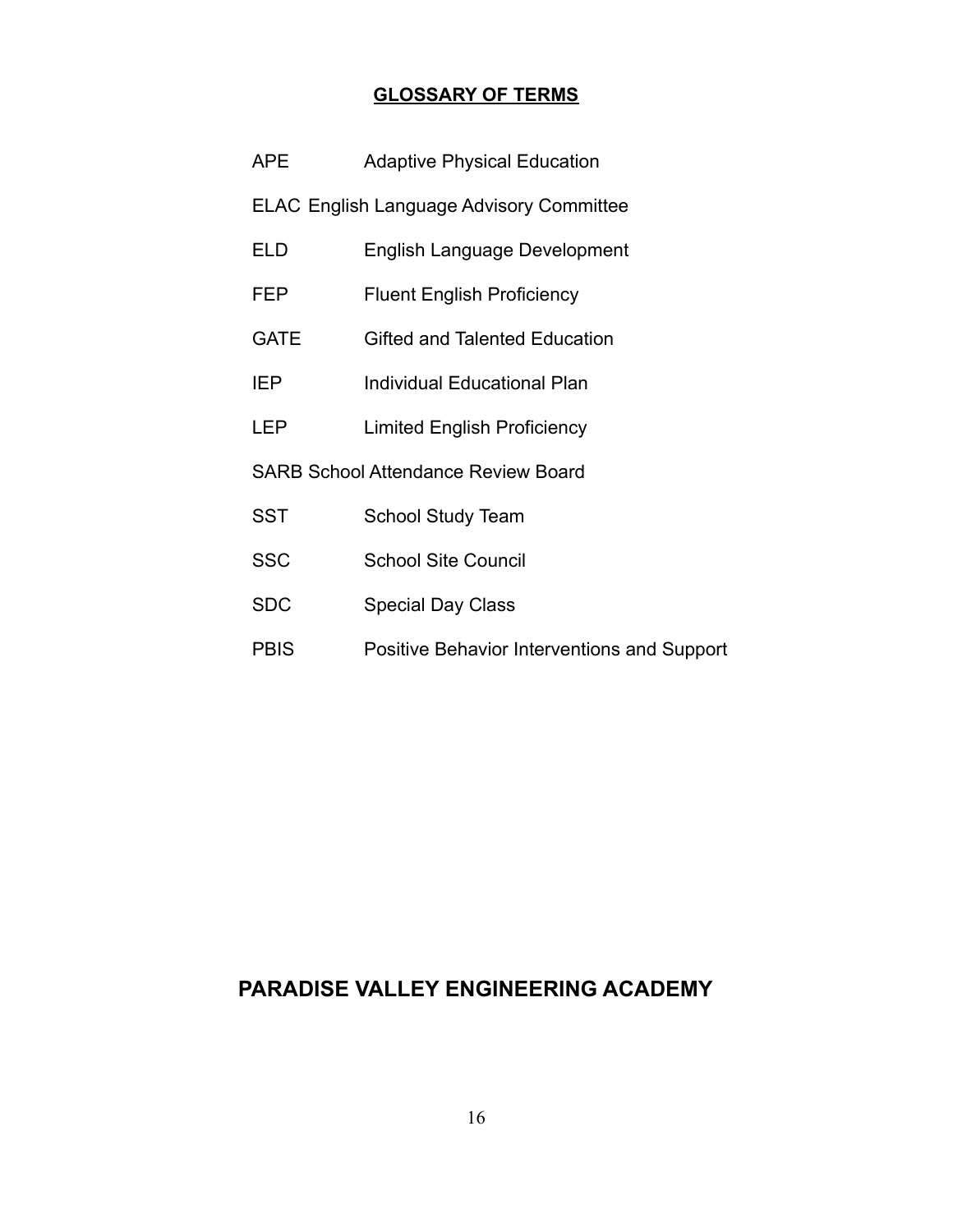## **GLOSSARY OF TERMS**

| APE.                                            | <b>Adaptive Physical Education</b>                 |  |
|-------------------------------------------------|----------------------------------------------------|--|
| <b>ELAC English Language Advisory Committee</b> |                                                    |  |
| ELD                                             | <b>English Language Development</b>                |  |
| FEP                                             | <b>Fluent English Proficiency</b>                  |  |
| <b>GATE</b>                                     | <b>Gifted and Talented Education</b>               |  |
| <b>IEP</b>                                      | Individual Educational Plan                        |  |
| LEP                                             | <b>Limited English Proficiency</b>                 |  |
| <b>SARB School Attendance Review Board</b>      |                                                    |  |
| <b>SST</b>                                      | <b>School Study Team</b>                           |  |
| <b>SSC</b>                                      | <b>School Site Council</b>                         |  |
| <b>SDC</b>                                      | <b>Special Day Class</b>                           |  |
| <b>PBIS</b>                                     | <b>Positive Behavior Interventions and Support</b> |  |

## **PARADISE VALLEY ENGINEERING ACADEMY**